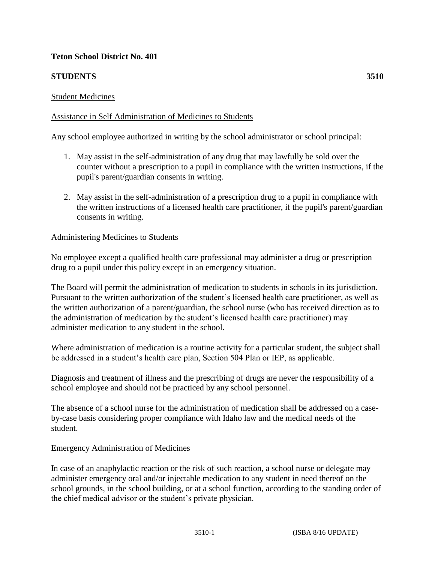# **Teton School District No. 401**

# **STUDENTS 3510**

### Student Medicines

### Assistance in Self Administration of Medicines to Students

Any school employee authorized in writing by the school administrator or school principal:

- 1. May assist in the self-administration of any drug that may lawfully be sold over the counter without a prescription to a pupil in compliance with the written instructions, if the pupil's parent/guardian consents in writing.
- 2. May assist in the self-administration of a prescription drug to a pupil in compliance with the written instructions of a licensed health care practitioner, if the pupil's parent/guardian consents in writing.

#### Administering Medicines to Students

No employee except a qualified health care professional may administer a drug or prescription drug to a pupil under this policy except in an emergency situation.

The Board will permit the administration of medication to students in schools in its jurisdiction. Pursuant to the written authorization of the student's licensed health care practitioner, as well as the written authorization of a parent/guardian, the school nurse (who has received direction as to the administration of medication by the student's licensed health care practitioner) may administer medication to any student in the school.

Where administration of medication is a routine activity for a particular student, the subject shall be addressed in a student's health care plan, Section 504 Plan or IEP, as applicable.

Diagnosis and treatment of illness and the prescribing of drugs are never the responsibility of a school employee and should not be practiced by any school personnel.

The absence of a school nurse for the administration of medication shall be addressed on a caseby-case basis considering proper compliance with Idaho law and the medical needs of the student.

#### Emergency Administration of Medicines

In case of an anaphylactic reaction or the risk of such reaction, a school nurse or delegate may administer emergency oral and/or injectable medication to any student in need thereof on the school grounds, in the school building, or at a school function, according to the standing order of the chief medical advisor or the student's private physician.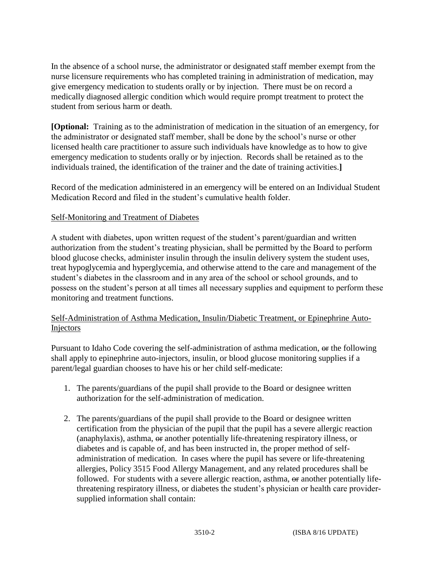In the absence of a school nurse, the administrator or designated staff member exempt from the nurse licensure requirements who has completed training in administration of medication, may give emergency medication to students orally or by injection. There must be on record a medically diagnosed allergic condition which would require prompt treatment to protect the student from serious harm or death.

**[Optional:** Training as to the administration of medication in the situation of an emergency, for the administrator or designated staff member, shall be done by the school's nurse or other licensed health care practitioner to assure such individuals have knowledge as to how to give emergency medication to students orally or by injection. Records shall be retained as to the individuals trained, the identification of the trainer and the date of training activities.**]**

Record of the medication administered in an emergency will be entered on an Individual Student Medication Record and filed in the student's cumulative health folder.

# Self-Monitoring and Treatment of Diabetes

A student with diabetes, upon written request of the student's parent/guardian and written authorization from the student's treating physician, shall be permitted by the Board to perform blood glucose checks, administer insulin through the insulin delivery system the student uses, treat hypoglycemia and hyperglycemia, and otherwise attend to the care and management of the student's diabetes in the classroom and in any area of the school or school grounds, and to possess on the student's person at all times all necessary supplies and equipment to perform these monitoring and treatment functions.

# Self-Administration of Asthma Medication, Insulin/Diabetic Treatment, or Epinephrine Auto-Injectors

Pursuant to Idaho Code covering the self-administration of asthma medication,  $\Theta$  the following shall apply to epinephrine auto-injectors, insulin, or blood glucose monitoring supplies if a parent/legal guardian chooses to have his or her child self-medicate:

- 1. The parents/guardians of the pupil shall provide to the Board or designee written authorization for the self-administration of medication.
- 2. The parents/guardians of the pupil shall provide to the Board or designee written certification from the physician of the pupil that the pupil has a severe allergic reaction (anaphylaxis), asthma, or another potentially life-threatening respiratory illness, or diabetes and is capable of, and has been instructed in, the proper method of selfadministration of medication. In cases where the pupil has severe or life-threatening allergies, Policy 3515 Food Allergy Management, and any related procedures shall be followed. For students with a severe allergic reaction, asthma,  $\Theta$  another potentially lifethreatening respiratory illness, or diabetes the student's physician or health care providersupplied information shall contain: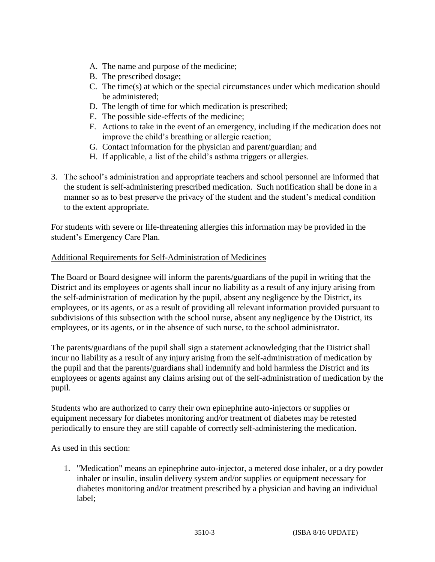- A. The name and purpose of the medicine;
- B. The prescribed dosage;
- C. The time(s) at which or the special circumstances under which medication should be administered;
- D. The length of time for which medication is prescribed;
- E. The possible side-effects of the medicine;
- F. Actions to take in the event of an emergency, including if the medication does not improve the child's breathing or allergic reaction;
- G. Contact information for the physician and parent/guardian; and
- H. If applicable, a list of the child's asthma triggers or allergies.
- 3. The school's administration and appropriate teachers and school personnel are informed that the student is self-administering prescribed medication. Such notification shall be done in a manner so as to best preserve the privacy of the student and the student's medical condition to the extent appropriate.

For students with severe or life-threatening allergies this information may be provided in the student's Emergency Care Plan.

#### Additional Requirements for Self-Administration of Medicines

The Board or Board designee will inform the parents/guardians of the pupil in writing that the District and its employees or agents shall incur no liability as a result of any injury arising from the self-administration of medication by the pupil, absent any negligence by the District, its employees, or its agents, or as a result of providing all relevant information provided pursuant to subdivisions of this subsection with the school nurse, absent any negligence by the District, its employees, or its agents, or in the absence of such nurse, to the school administrator.

The parents/guardians of the pupil shall sign a statement acknowledging that the District shall incur no liability as a result of any injury arising from the self-administration of medication by the pupil and that the parents/guardians shall indemnify and hold harmless the District and its employees or agents against any claims arising out of the self-administration of medication by the pupil.

Students who are authorized to carry their own epinephrine auto-injectors or supplies or equipment necessary for diabetes monitoring and/or treatment of diabetes may be retested periodically to ensure they are still capable of correctly self-administering the medication.

As used in this section:

1. "Medication" means an epinephrine auto-injector, a metered dose inhaler, or a dry powder inhaler or insulin, insulin delivery system and/or supplies or equipment necessary for diabetes monitoring and/or treatment prescribed by a physician and having an individual label;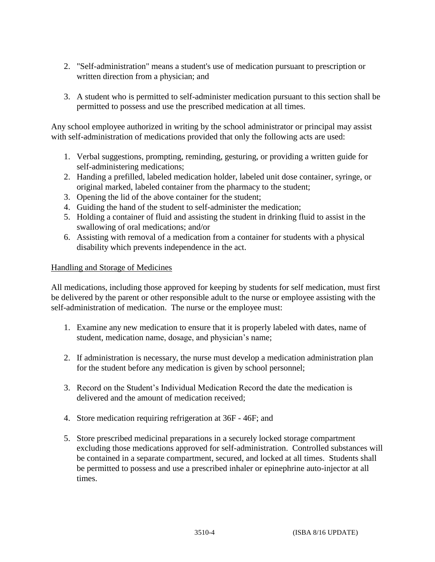- 2. "Self-administration" means a student's use of medication pursuant to prescription or written direction from a physician; and
- 3. A student who is permitted to self-administer medication pursuant to this section shall be permitted to possess and use the prescribed medication at all times.

Any school employee authorized in writing by the school administrator or principal may assist with self-administration of medications provided that only the following acts are used:

- 1. Verbal suggestions, prompting, reminding, gesturing, or providing a written guide for self-administering medications;
- 2. Handing a prefilled, labeled medication holder, labeled unit dose container, syringe, or original marked, labeled container from the pharmacy to the student;
- 3. Opening the lid of the above container for the student;
- 4. Guiding the hand of the student to self-administer the medication;
- 5. Holding a container of fluid and assisting the student in drinking fluid to assist in the swallowing of oral medications; and/or
- 6. Assisting with removal of a medication from a container for students with a physical disability which prevents independence in the act.

# Handling and Storage of Medicines

All medications, including those approved for keeping by students for self medication, must first be delivered by the parent or other responsible adult to the nurse or employee assisting with the self-administration of medication. The nurse or the employee must:

- 1. Examine any new medication to ensure that it is properly labeled with dates, name of student, medication name, dosage, and physician's name;
- 2. If administration is necessary, the nurse must develop a medication administration plan for the student before any medication is given by school personnel;
- 3. Record on the Student's Individual Medication Record the date the medication is delivered and the amount of medication received;
- 4. Store medication requiring refrigeration at 36F 46F; and
- 5. Store prescribed medicinal preparations in a securely locked storage compartment excluding those medications approved for self-administration. Controlled substances will be contained in a separate compartment, secured, and locked at all times. Students shall be permitted to possess and use a prescribed inhaler or epinephrine auto-injector at all times.